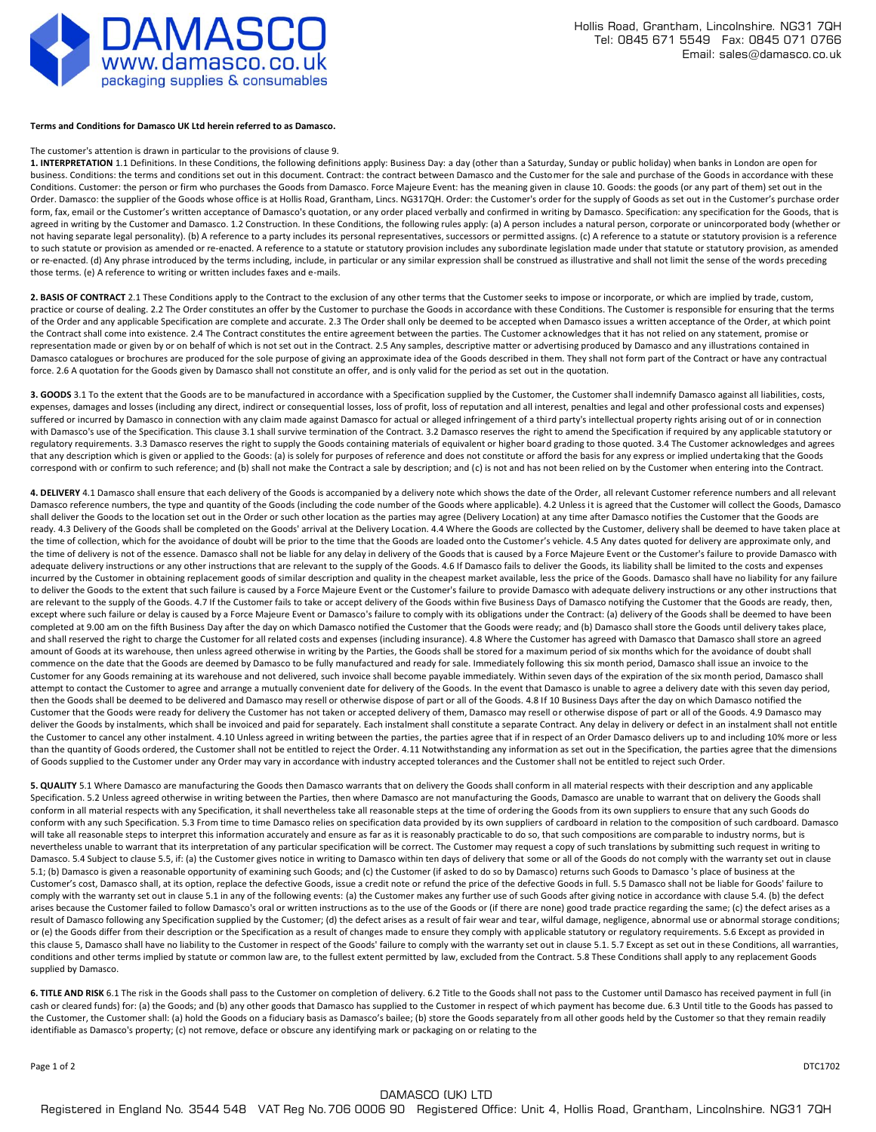

## **Terms and Conditions for Damasco UK Ltd herein referred to as Damasco.**

## The customer's attention is drawn in particular to the provisions of clause 9.

**1. INTERPRETATION** 1.1 Definitions. In these Conditions, the following definitions apply: Business Day: a day (other than a Saturday, Sunday or public holiday) when banks in London are open for business. Conditions: the terms and conditions set out in this document. Contract: the contract between Damasco and the Customer for the sale and purchase of the Goods in accordance with these Conditions. Customer: the person or firm who purchases the Goods from Damasco. Force Majeure Event: has the meaning given in clause 10. Goods: the goods (or any part of them) set out in the Order. Damasco: the supplier of the Goods whose office is at Hollis Road, Grantham, Lincs. NG317QH. Order: the Customer's order for the supply of Goods as set out in the Customer's purchase order form, fax, email or the Customer's written acceptance of Damasco's quotation, or any order placed verbally and confirmed in writing by Damasco. Specification: any specification for the Goods, that is agreed in writing by the Customer and Damasco. 1.2 Construction. In these Conditions, the following rules apply: (a) A person includes a natural person, corporate or unincorporated body (whether or not having separate legal personality). (b) A reference to a party includes its personal representatives, successors or permitted assigns. (c) A reference to a statute or statutory provision is a reference to such statute or provision as amended or re-enacted. A reference to a statute or statutory provision includes any subordinate legislation made under that statute or statutory provision, as amended or re-enacted. (d) Any phrase introduced by the terms including, include, in particular or any similar expression shall be construed as illustrative and shall not limit the sense of the words preceding those terms. (e) A reference to writing or written includes faxes and e-mails.

**2. BASIS OF CONTRACT** 2.1 These Conditions apply to the Contract to the exclusion of any other terms that the Customer seeks to impose or incorporate, or which are implied by trade, custom, practice or course of dealing. 2.2 The Order constitutes an offer by the Customer to purchase the Goods in accordance with these Conditions. The Customer is responsible for ensuring that the terms of the Order and any applicable Specification are complete and accurate. 2.3 The Order shall only be deemed to be accepted when Damasco issues a written acceptance of the Order, at which point the Contract shall come into existence. 2.4 The Contract constitutes the entire agreement between the parties. The Customer acknowledges that it has not relied on any statement, promise or representation made or given by or on behalf of which is not set out in the Contract. 2.5 Any samples, descriptive matter or advertising produced by Damasco and any illustrations contained in Damasco catalogues or brochures are produced for the sole purpose of giving an approximate idea of the Goods described in them. They shall not form part of the Contract or have any contractual force. 2.6 A quotation for the Goods given by Damasco shall not constitute an offer, and is only valid for the period as set out in the quotation.

**3. GOODS** 3.1 To the extent that the Goods are to be manufactured in accordance with a Specification supplied by the Customer, the Customer shall indemnify Damasco against all liabilities, costs, expenses, damages and losses (including any direct, indirect or consequential losses, loss of profit, loss of reputation and all interest, penalties and legal and other professional costs and expenses) suffered or incurred by Damasco in connection with any claim made against Damasco for actual or alleged infringement of a third party's intellectual property rights arising out of or in connection with Damasco's use of the Specification. This clause 3.1 shall survive termination of the Contract. 3.2 Damasco reserves the right to amend the Specification if required by any applicable statutory or regulatory requirements. 3.3 Damasco reserves the right to supply the Goods containing materials of equivalent or higher board grading to those quoted. 3.4 The Customer acknowledges and agrees that any description which is given or applied to the Goods: (a) is solely for purposes of reference and does not constitute or afford the basis for any express or implied undertaking that the Goods correspond with or confirm to such reference; and (b) shall not make the Contract a sale by description; and (c) is not and has not been relied on by the Customer when entering into the Contract.

4. DELIVERY 4.1 Damasco shall ensure that each delivery of the Goods is accompanied by a delivery note which shows the date of the Order, all relevant Customer reference numbers and all relevant Damasco reference numbers, the type and quantity of the Goods (including the code number of the Goods where applicable). 4.2 Unless it is agreed that the Customer will collect the Goods, Damasco shall deliver the Goods to the location set out in the Order or such other location as the parties may agree (Delivery Location) at any time after Damasco notifies the Customer that the Goods are ready. 4.3 Delivery of the Goods shall be completed on the Goods' arrival at the Delivery Location. 4.4 Where the Goods are collected by the Customer, delivery shall be deemed to have taken place at the time of collection, which for the avoidance of doubt will be prior to the time that the Goods are loaded onto the Customer's vehicle. 4.5 Any dates quoted for delivery are approximate only, and the time of delivery is not of the essence. Damasco shall not be liable for any delay in delivery of the Goods that is caused by a Force Majeure Event or the Customer's failure to provide Damasco with adequate delivery instructions or any other instructions that are relevant to the supply of the Goods. 4.6 If Damasco fails to deliver the Goods, its liability shall be limited to the costs and expenses incurred by the Customer in obtaining replacement goods of similar description and quality in the cheapest market available, less the price of the Goods. Damasco shall have no liability for any failure to deliver the Goods to the extent that such failure is caused by a Force Majeure Event or the Customer's failure to provide Damasco with adequate delivery instructions or any other instructions that are relevant to the supply of the Goods. 4.7 If the Customer fails to take or accept delivery of the Goods within five Business Days of Damasco notifying the Customer that the Goods are ready, then, except where such failure or delay is caused by a Force Majeure Event or Damasco's failure to comply with its obligations under the Contract: (a) delivery of the Goods shall be deemed to have been completed at 9.00 am on the fifth Business Day after the day on which Damasco notified the Customer that the Goods were ready; and (b) Damasco shall store the Goods until delivery takes place, and shall reserved the right to charge the Customer for all related costs and expenses (including insurance). 4.8 Where the Customer has agreed with Damasco that Damasco shall store an agreed amount of Goods at its warehouse, then unless agreed otherwise in writing by the Parties, the Goods shall be stored for a maximum period of six months which for the avoidance of doubt shall commence on the date that the Goods are deemed by Damasco to be fully manufactured and ready for sale. Immediately following this six month period, Damasco shall issue an invoice to the Customer for any Goods remaining at its warehouse and not delivered, such invoice shall become payable immediately. Within seven days of the expiration of the six month period, Damasco shall attempt to contact the Customer to agree and arrange a mutually convenient date for delivery of the Goods. In the event that Damasco is unable to agree a delivery date with this seven day period, then the Goods shall be deemed to be delivered and Damasco may resell or otherwise dispose of part or all of the Goods. 4.8 If 10 Business Days after the day on which Damasco notified the Customer that the Goods were ready for delivery the Customer has not taken or accepted delivery of them, Damasco may resell or otherwise dispose of part or all of the Goods. 4.9 Damasco may deliver the Goods by instalments, which shall be invoiced and paid for separately. Each instalment shall constitute a separate Contract. Any delay in delivery or defect in an instalment shall not entitle the Customer to cancel any other instalment. 4.10 Unless agreed in writing between the parties, the parties agree that if in respect of an Order Damasco delivers up to and including 10% more or less than the quantity of Goods ordered, the Customer shall not be entitled to reject the Order. 4.11 Notwithstanding any information as set out in the Specification, the parties agree that the dimensions of Goods supplied to the Customer under any Order may vary in accordance with industry accepted tolerances and the Customer shall not be entitled to reject such Order.

**5. QUALITY** 5.1 Where Damasco are manufacturing the Goods then Damasco warrants that on delivery the Goods shall conform in all material respects with their description and any applicable Specification. 5.2 Unless agreed otherwise in writing between the Parties, then where Damasco are not manufacturing the Goods, Damasco are unable to warrant that on delivery the Goods shall conform in all material respects with any Specification, it shall nevertheless take all reasonable steps at the time of ordering the Goods from its own suppliers to ensure that any such Goods do conform with any such Specification. 5.3 From time to time Damasco relies on specification data provided by its own suppliers of cardboard in relation to the composition of such cardboard. Damasco will take all reasonable steps to interpret this information accurately and ensure as far as it is reasonably practicable to do so, that such compositions are comparable to industry norms, but is nevertheless unable to warrant that its interpretation of any particular specification will be correct. The Customer may request a copy of such translations by submitting such request in writing to Damasco. 5.4 Subject to clause 5.5, if: (a) the Customer gives notice in writing to Damasco within ten days of delivery that some or all of the Goods do not comply with the warranty set out in clause 5.1; (b) Damasco is given a reasonable opportunity of examining such Goods; and (c) the Customer (if asked to do so by Damasco) returns such Goods to Damasco 's place of business at the Customer's cost, Damasco shall, at its option, replace the defective Goods, issue a credit note or refund the price of the defective Goods in full. 5.5 Damasco shall not be liable for Goods' failure to comply with the warranty set out in clause 5.1 in any of the following events: (a) the Customer makes any further use of such Goods after giving notice in accordance with clause 5.4. (b) the defect arises because the Customer failed to follow Damasco's oral or written instructions as to the use of the Goods or (if there are none) good trade practice regarding the same; (c) the defect arises as a result of Damasco following any Specification supplied by the Customer; (d) the defect arises as a result of fair wear and tear, wilful damage, negligence, abnormal use or abnormal storage conditions; or (e) the Goods differ from their description or the Specification as a result of changes made to ensure they comply with applicable statutory or regulatory requirements. 5.6 Except as provided in this clause 5, Damasco shall have no liability to the Customer in respect of the Goods' failure to comply with the warranty set out in clause 5.1. 5.7 Except as set out in these Conditions, all warranties, conditions and other terms implied by statute or common law are, to the fullest extent permitted by law, excluded from the Contract. 5.8 These Conditions shall apply to any replacement Goods supplied by Damasco.

**6. TITLE AND RISK** 6.1 The risk in the Goods shall pass to the Customer on completion of delivery. 6.2 Title to the Goods shall not pass to the Customer until Damasco has received payment in full (in cash or cleared funds) for: (a) the Goods; and (b) any other goods that Damasco has supplied to the Customer in respect of which payment has become due. 6.3 Until title to the Goods has passed to the Customer, the Customer shall: (a) hold the Goods on a fiduciary basis as Damasco's bailee; (b) store the Goods separately from all other goods held by the Customer so that they remain readily identifiable as Damasco's property; (c) not remove, deface or obscure any identifying mark or packaging on or relating to the

Page 1 of 2 DTC1702